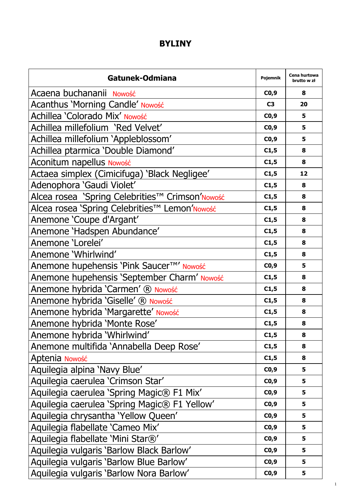## **BYLINY**

| Gatunek-Odmiana                                 | Pojemnik       | Cena hurtowa<br>brutto w zł |
|-------------------------------------------------|----------------|-----------------------------|
| Acaena buchananii Nowość                        | CO,9           | 8                           |
| Acanthus 'Morning Candle' Nowość                | C <sub>3</sub> | 20                          |
| Achillea 'Colorado Mix' Nowość                  | CO,9           | 5                           |
| Achillea millefolium 'Red Velvet'               | CO, 9          | 5                           |
| Achillea millefolium 'Appleblossom'             | CO,9           | 5                           |
| Achillea ptarmica 'Double Diamond'              | C1,5           | 8                           |
| Aconitum napellus Nowość                        | C1,5           | 8                           |
| Actaea simplex (Cimicifuga) 'Black Negligee'    | C1,5           | 12                          |
| Adenophora 'Gaudi Violet'                       | C1,5           | 8                           |
| Alcea rosea 'Spring Celebrities™ Crimson'Nowość | C1,5           | 8                           |
| Alcea rosea 'Spring Celebrities™ Lemon'Nowość   | C1,5           | 8                           |
| Anemone 'Coupe d'Argant'                        | C1,5           | 8                           |
| Anemone 'Hadspen Abundance'                     | C1,5           | 8                           |
| Anemone 'Lorelei'                               | C1,5           | 8                           |
| Anemone 'Whirlwind'                             | C1,5           | 8                           |
| Anemone hupehensis 'Pink Saucer™' Nowość        | CO,9           | 5                           |
| Anemone hupehensis 'September Charm' Nowość     | C1,5           | 8                           |
| Anemone hybrida 'Carmen' ® Nowość               | C1,5           | 8                           |
| Anemone hybrida 'Giselle' ® Nowość              | C1,5           | 8                           |
| Anemone hybrida 'Margarette' Nowość             | C1,5           | 8                           |
| Anemone hybrida 'Monte Rose'                    | C1,5           | 8                           |
| Anemone hybrida 'Whirlwind'                     | C1,5           | 8                           |
| Anemone multifida 'Annabella Deep Rose'         | C1,5           | 8                           |
| Aptenia Nowość                                  | C1,5           | 8                           |
| Aquilegia alpina 'Navy Blue'                    | CO,9           | 5                           |
| Aquilegia caerulea 'Crimson Star'               | CO, 9          | 5                           |
| Aquilegia caerulea 'Spring Magic® F1 Mix'       | CO,9           | 5                           |
| Aquilegia caerulea 'Spring Magic® F1 Yellow'    | CO, 9          | 5                           |
| Aquilegia chrysantha 'Yellow Queen'             | CO, 9          | 5                           |
| Aquilegia flabellate 'Cameo Mix'                | CO, 9          | 5                           |
| Aquilegia flabellate 'Mini Star®'               | CO, 9          | 5                           |
| Aquilegia vulgaris 'Barlow Black Barlow'        | CO, 9          | 5                           |
| Aquilegia vulgaris 'Barlow Blue Barlow'         | CO, 9          | 5                           |
| Aquilegia vulgaris 'Barlow Nora Barlow'         | CO, 9          | 5                           |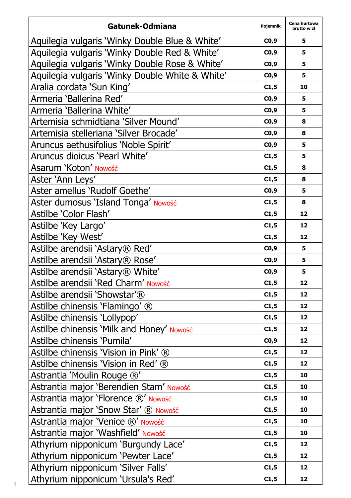| Gatunek-Odmiana                                 | Pojemnik | Cena hurtowa<br>brutto w zł |
|-------------------------------------------------|----------|-----------------------------|
| Aquilegia vulgaris 'Winky Double Blue & White'  | CO,9     | 5                           |
| Aquilegia vulgaris 'Winky Double Red & White'   | CO,9     | 5                           |
| Aquilegia vulgaris 'Winky Double Rose & White'  | CO,9     | 5                           |
| Aquilegia vulgaris 'Winky Double White & White' | CO,9     | 5                           |
| Aralia cordata 'Sun King'                       | C1,5     | 10                          |
| Armeria 'Ballerina Red'                         | CO, 9    | 5                           |
| Armeria 'Ballerina White'                       | CO,9     | 5                           |
| Artemisia schmidtiana 'Silver Mound'            | CO,9     | 8                           |
| Artemisia stelleriana 'Silver Brocade'          | CO,9     | 8                           |
| Aruncus aethusifolius 'Noble Spirit'            | CO, 9    | 5                           |
| Aruncus dioicus 'Pearl White'                   | C1,5     | 5                           |
| Asarum 'Koton' Nowość                           | C1,5     | 8                           |
| Aster 'Ann Leys'                                | C1,5     | 8                           |
| Aster amellus 'Rudolf Goethe'                   | CO, 9    | 5                           |
| Aster dumosus 'Island Tonga' Nowość             | C1,5     | 8                           |
| Astilbe 'Color Flash'                           | C1,5     | 12                          |
| Astilbe 'Key Largo'                             | C1,5     | 12                          |
| Astilbe 'Key West'                              | C1,5     | 12                          |
| Astilbe arendsii 'Astary® Red'                  | CO,9     | 5                           |
| Astilbe arendsii 'Astary® Rose'                 | CO, 9    | 5                           |
| Astilbe arendsii 'Astary® White'                | CO,9     | 5                           |
| Astilbe arendsii 'Red Charm' Nowość             | C1,5     | 12                          |
| Astilbe arendsii 'Showstar'®                    | C1,5     | 12                          |
| Astilbe chinensis 'Flamingo' ®                  | C1,5     | 12                          |
| Astilbe chinensis 'Lollypop'                    | C1,5     | 12                          |
| Astilbe chinensis 'Milk and Honey' Nowość       | C1,5     | 12                          |
| Astilbe chinensis 'Pumila'                      | CO, 9    | 12                          |
| Astilbe chinensis 'Vision in Pink' ®            | C1,5     | 12                          |
| Astilbe chinensis 'Vision in Red' ®             | C1,5     | 12                          |
| Astrantia 'Moulin Rouge ®'                      | C1,5     | 10                          |
| Astrantia maior 'Berendien Stam' Nowość         | C1,5     | 10                          |
| Astrantia major 'Florence ®' Nowość             | C1,5     | 10                          |
| Astrantia major 'Snow Star' ® Nowość            | C1,5     | 10                          |
| Astrantia major 'Venice ®' Nowość               | C1,5     | 10                          |
| Astrantia major 'Washfield' Nowość              | C1,5     | 10                          |
| Athyrium nipponicum 'Burgundy Lace'             | C1,5     | 12                          |
| Athyrium nipponicum 'Pewter Lace'               | C1,5     | 12                          |
| Athyrium nipponicum 'Silver Falls'              | C1,5     | 12                          |
| Athyrium nipponicum 'Ursula's Red'              | C1,5     | 12                          |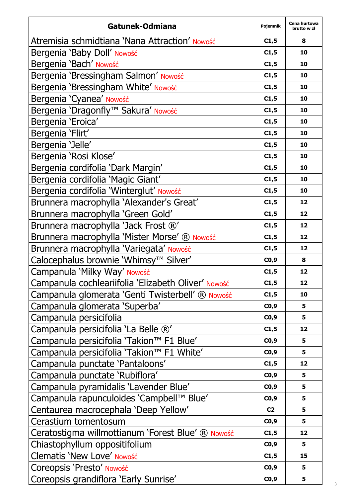| Gatunek-Odmiana                                     | Pojemnik       | Cena hurtowa<br>brutto w zł |
|-----------------------------------------------------|----------------|-----------------------------|
| Atremisia schmidtiana 'Nana Attraction' Nowość      | C1,5           | 8                           |
| Bergenia 'Baby Doll' Nowość                         | C1,5           | 10                          |
| Bergenia 'Bach' Nowość                              | C1,5           | 10                          |
| Bergenia 'Bressingham Salmon' Nowość                | C1,5           | 10                          |
| Bergenia 'Bressingham White' Nowość                 | C1,5           | 10                          |
| Bergenia 'Cyanea' Nowość                            | C1,5           | 10                          |
| Bergenia 'Dragonfly™ Sakura' Nowość                 | C1,5           | 10                          |
| Bergenia 'Eroica'                                   | C1,5           | 10                          |
| Bergenia 'Flirt'                                    | C1,5           | 10                          |
| Bergenia 'Jelle'                                    | C1,5           | 10                          |
| Bergenia 'Rosi Klose'                               | C1,5           | 10                          |
| Bergenia cordifolia 'Dark Margin'                   | C1,5           | 10                          |
| Bergenia cordifolia 'Magic Giant'                   | C1,5           | 10                          |
| Bergenia cordifolia 'Winterglut' Nowość             | C1,5           | 10                          |
| Brunnera macrophylla 'Alexander's Great'            | C1,5           | 12                          |
| Brunnera macrophylla 'Green Gold'                   | C1,5           | 12                          |
| Brunnera macrophylla 'Jack Frost ®'                 | C1,5           | 12                          |
| Brunnera macrophylla 'Mister Morse' ® Nowość        | C1,5           | 12                          |
| Brunnera macrophylla 'Variegata' Nowość             | C1,5           | 12                          |
| Calocephalus brownie 'Whimsy™ Silver'               | CO, 9          | 8                           |
| Campanula 'Milky Way' Nowość                        | C1,5           | 12                          |
| Campanula cochleariifolia 'Elizabeth Oliver' Nowość | C1,5           | 12                          |
| Campanula glomerata 'Genti Twisterbell' ® Nowość    | C1,5           | 10                          |
| Campanula glomerata 'Superba'                       | CO, 9          | 5                           |
| Campanula persicifolia                              | CO, 9          | 5                           |
| Campanula persicifolia 'La Belle ®'                 | C1,5           | 12                          |
| Campanula persicifolia 'Takion™ F1 Blue'            | CO, 9          | 5                           |
| Campanula persicifolia 'Takion™ F1 White'           | CO, 9          | 5                           |
| Campanula punctate 'Pantaloons'                     | C1,5           | 12                          |
| Campanula punctate 'Rubiflora'                      | CO, 9          | 5                           |
| Campanula pyramidalis 'Lavender Blue'               | CO,9           | 5                           |
| Campanula rapunculoides 'Campbell™ Blue'            | CO, 9          | 5                           |
| Centaurea macrocephala 'Deep Yellow'                | C <sub>2</sub> | 5                           |
| Cerastium tomentosum                                | CO, 9          | 5                           |
| Ceratostigma willmottianum 'Forest Blue' ® Nowość   | C1,5           | 12                          |
| Chiastophyllum oppositifolium                       | CO, 9          | 5                           |
| Clematis 'New Love' Nowość                          | C1,5           | 15                          |
| Coreopsis 'Presto' Nowość                           | CO, 9          | 5                           |
| Coreopsis grandiflora 'Early Sunrise'               | CO,9           | 5                           |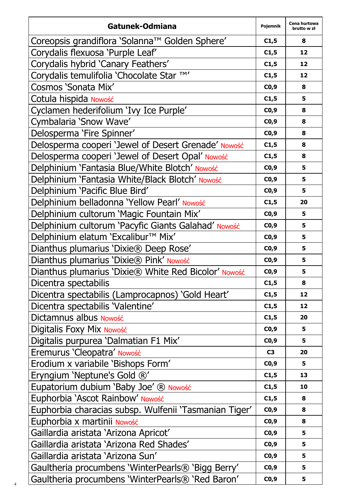| Gatunek-Odmiana                                       | Pojemnik | Cena hurtowa<br>brutto w zł |
|-------------------------------------------------------|----------|-----------------------------|
| Coreopsis grandiflora 'Solanna™ Golden Sphere'        | C1,5     | 8                           |
| Corydalis flexuosa 'Purple Leaf'                      | C1,5     | 12                          |
| Corydalis hybrid 'Canary Feathers'                    | C1,5     | 12                          |
| Corydalis temulifolia 'Chocolate Star TM'             | C1,5     | 12                          |
| Cosmos 'Sonata Mix'                                   | CO,9     | 8                           |
| Cotula hispida Nowość                                 | C1,5     | 5                           |
| Cyclamen hederifolium 'Ivy Ice Purple'                | CO, 9    | 8                           |
| Cymbalaria 'Snow Wave'                                | CO,9     | 8                           |
| Delosperma 'Fire Spinner'                             | CO,9     | 8                           |
| Delosperma cooperi 'Jewel of Desert Grenade' Nowość   | C1,5     | 8                           |
| Delosperma cooperi 'Jewel of Desert Opal' Nowość      | C1,5     | 8                           |
| Delphinium 'Fantasia Blue/White Blotch' Nowość        | CO, 9    | 5                           |
| Delphinium 'Fantasia White/Black Blotch' Nowość       | CO,9     | 5                           |
| Delphinium 'Pacific Blue Bird'                        | CO, 9    | 5                           |
| Delphinium belladonna 'Yellow Pearl' Nowość           | C1,5     | 20                          |
| Delphinium cultorum 'Magic Fountain Mix'              | CO,9     | 5                           |
| Delphinium cultorum 'Pacyfic Giants Galahad' Nowość   | CO, 9    | 5                           |
| Delphinium elatum 'Excalibur™ Mix'                    | CO, 9    | 5                           |
| Dianthus plumarius 'Dixie® Deep Rose'                 | CO, 9    | 5                           |
| Dianthus plumarius 'Dixie® Pink' Nowość               | CO,9     | 5                           |
| Dianthus plumarius 'Dixie® White Red Bicolor' Nowość  | CO, 9    | 5                           |
| Dicentra spectabilis                                  | C1,5     | 8                           |
| Dicentra spectabilis (Lamprocapnos) 'Gold Heart'      | C1,5     | 12                          |
| Dicentra spectabilis 'Valentine'                      | C1,5     | 12                          |
| Dictamnus albus Nowość                                | C1,5     | 20                          |
| Digitalis Foxy Mix Nowość                             | CO, 9    | 5                           |
| Digitalis purpurea 'Dalmatian F1 Mix'                 | CO,9     | 5                           |
| Eremurus 'Cleopatra' Nowość                           | C3       | 20                          |
| Erodium x variabile 'Bishops Form'                    | CO, 9    | 5                           |
| Eryngium 'Neptune's Gold ®'                           | C1,5     | 13                          |
| Eupatorium dubium 'Baby Joe' ® Nowość                 | C1,5     | 10                          |
| Euphorbia 'Ascot Rainbow' Nowość                      | C1,5     | 8                           |
| Euphorbia characias subsp. Wulfenii 'Tasmanian Tiger' | CO, 9    | 8                           |
| Euphorbia x martinii Nowość                           | CO, 9    | 8                           |
| Gaillardia aristata 'Arizona Apricot'                 | CO, 9    | 5                           |
| Gaillardia aristata 'Arizona Red Shades'              | CO,9     | 5                           |
| Gaillardia aristata 'Arizona Sun'                     | CO, 9    | 5                           |
| Gaultheria procumbens 'WinterPearls® 'Bigg Berry'     | CO,9     | 5                           |
| Gaultheria procumbens 'WinterPearls® 'Red Baron'      | CO,9     | 5                           |

4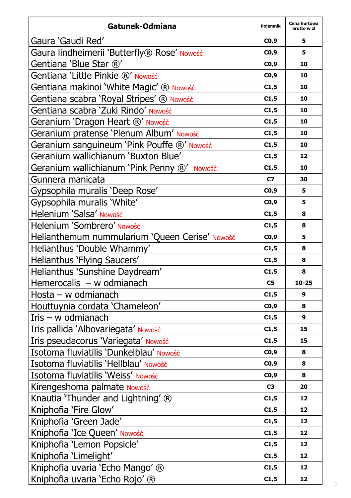| Gatunek-Odmiana                                | Pojemnik       | Cena hurtowa<br>brutto w zł |
|------------------------------------------------|----------------|-----------------------------|
| Gaura 'Gaudi Red'                              | CO,9           | 5                           |
| Gaura lindheimerii 'Butterfly® Rose' Nowość    | CO, 9          | 5                           |
| Gentiana 'Blue Star ®'                         | CO,9           | 10                          |
| Gentiana 'Little Pinkie ®' Nowość              | CO, 9          | 10                          |
| Gentiana makinoi 'White Magic' ® Nowość        | C1,5           | 10                          |
| Gentiana scabra 'Royal Stripes' ® Nowość       | C1,5           | 10                          |
| Gentiana scabra 'Zuki Rindo' Nowość            | C1,5           | 10                          |
| Geranium 'Dragon Heart ®' Nowość               | C1,5           | 10                          |
| Geranium pratense 'Plenum Album' Nowość        | C1,5           | 10                          |
| Geranium sanguineum 'Pink Pouffe ®' Nowość     | C1,5           | 10                          |
| Geranium wallichianum 'Buxton Blue'            | C1,5           | 12                          |
| Geranium wallichianum 'Pink Penny ®' Nowość    | C1,5           | 10                          |
| Gunnera manicata                               | C7             | 30                          |
| Gypsophila muralis 'Deep Rose'                 | CO, 9          | 5                           |
| Gypsophila muralis 'White'                     | CO,9           | 5                           |
| Helenium 'Salsa' Nowość                        | C1,5           | 8                           |
| Helenium 'Sombrero' Nowość                     | C1,5           | 8                           |
| Helianthemum nummularium 'Queen Cerise' Nowość | CO,9           | 5                           |
| Helianthus 'Double Whammy'                     | C1,5           | 8                           |
| Helianthus 'Flying Saucers'                    | C1,5           | 8                           |
| Helianthus 'Sunshine Daydream'                 | C1,5           | 8                           |
| Hemerocalis $-w$ odmianach                     | C5             | $10 - 25$                   |
| Hosta - w odmianach                            | C1,5           | 9                           |
| Houttuynia cordata 'Chameleon'                 | CO, 9          | 8                           |
| Iris $-$ w odmianach                           | C1,5           | 9                           |
| Iris pallida 'Albovariegata' Nowość            | C1,5           | 15                          |
| Iris pseudacorus 'Variegata' Nowość            | C1,5           | 15                          |
| Isotoma fluviatilis 'Dunkelblau' Nowość        | CO,9           | 8                           |
| Isotoma fluviatilis 'Hellblau' Nowość          | CO,9           | 8                           |
| Isotoma fluviatilis 'Weiss' Nowość             | CO,9           | 8                           |
| Kirengeshoma palmate Nowość                    | C <sub>3</sub> | 20                          |
| Knautia 'Thunder and Lightning' ®              | C1,5           | 12                          |
| Kniphofia 'Fire Glow'                          | C1,5           | 12                          |
| Kniphofia 'Green Jade'                         | C1,5           | 12                          |
| Kniphofia 'Ice Queen' Nowość                   | C1,5           | 12                          |
| Kniphofia 'Lemon Popsicle'                     | C1,5           | 12                          |
| Kniphofia 'Limelight'                          | C1,5           | 12                          |
| Kniphofia uvaria 'Echo Mango' ®                | C1,5           | 12                          |
| Kniphofia uvaria 'Echo Rojo' ®                 | C1,5           | 12                          |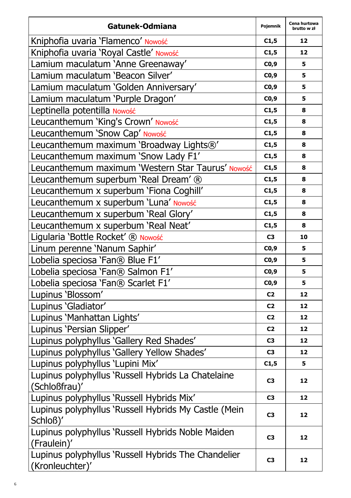| Gatunek-Odmiana                                                        | Pojemnik       | Cena hurtowa<br>brutto w zł |
|------------------------------------------------------------------------|----------------|-----------------------------|
| Kniphofia uvaria 'Flamenco' Nowość                                     | C1,5           | 12                          |
| Kniphofia uvaria 'Royal Castle' Nowość                                 | C1,5           | 12                          |
| Lamium maculatum 'Anne Greenaway'                                      | CO, 9          | 5                           |
| Lamium maculatum 'Beacon Silver'                                       | CO,9           | 5                           |
| Lamium maculatum 'Golden Anniversary'                                  | CO,9           | 5                           |
| Lamium maculatum 'Purple Dragon'                                       | CO, 9          | 5                           |
| Leptinella potentilla Nowość                                           | C1,5           | 8                           |
| Leucanthemum 'King's Crown' Nowość                                     | C1,5           | 8                           |
| Leucanthemum 'Snow Cap' Nowość                                         | C1,5           | 8                           |
| Leucanthemum maximum 'Broadway Lights®'                                | C1,5           | 8                           |
| Leucanthemum maximum 'Snow Lady F1'                                    | C1,5           | 8                           |
| Leucanthemum maximum 'Western Star Taurus' Nowość                      | C1,5           | 8                           |
| Leucanthemum superbum 'Real Dream' ®                                   | C1,5           | 8                           |
| Leucanthemum x superbum 'Fiona Coghill'                                | C1,5           | 8                           |
| Leucanthemum x superbum 'Luna' Nowość                                  | C1,5           | 8                           |
| Leucanthemum x superbum 'Real Glory'                                   | C1,5           | 8                           |
| Leucanthemum x superbum 'Real Neat'                                    | C1,5           | 8                           |
| Ligularia 'Bottle Rocket' ® Nowość                                     | C <sub>3</sub> | 10                          |
| Linum perenne 'Nanum Saphir'                                           | CO,9           | 5                           |
| Lobelia speciosa 'Fan® Blue F1'                                        | CO,9           | 5                           |
| Lobelia speciosa 'Fan® Salmon F1'                                      | CO, 9          | 5                           |
| Lobelia speciosa 'Fan® Scarlet F1'                                     | CO, 9          | 5                           |
| Lupinus 'Blossom'                                                      | C <sub>2</sub> | 12                          |
| Lupinus 'Gladiator'                                                    | C <sub>2</sub> | 12                          |
| Lupinus 'Manhattan Lights'                                             | C <sub>2</sub> | 12                          |
| Lupinus 'Persian Slipper'                                              | C2             | 12                          |
| Lupinus polyphyllus 'Gallery Red Shades'                               | C3             | 12                          |
| Lupinus polyphyllus 'Gallery Yellow Shades'                            | C <sub>3</sub> | 12                          |
| Lupinus polyphyllus 'Lupini Mix'                                       | C1,5           | 5                           |
| Lupinus polyphyllus 'Russell Hybrids La Chatelaine                     | C3             | 12                          |
| (Schloßfrau)'                                                          |                |                             |
| Lupinus polyphyllus 'Russell Hybrids Mix'                              | C3             | 12                          |
| Lupinus polyphyllus 'Russell Hybrids My Castle (Mein<br>Schloß)'       | C3             | 12                          |
| Lupinus polyphyllus 'Russell Hybrids Noble Maiden<br>(Fraulein)'       | C3             | 12                          |
| Lupinus polyphyllus 'Russell Hybrids The Chandelier<br>(Kronleuchter)' | C3             | 12                          |

6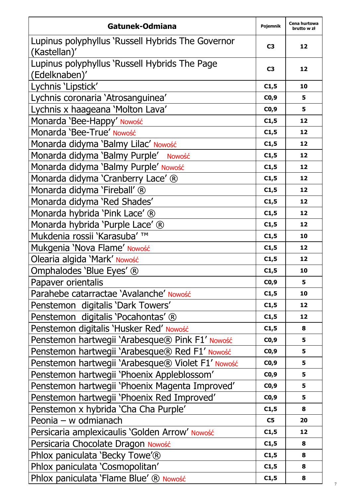| Gatunek-Odmiana                                                   | Pojemnik       | Cena hurtowa<br>brutto w zł |
|-------------------------------------------------------------------|----------------|-----------------------------|
| Lupinus polyphyllus 'Russell Hybrids The Governor<br>(Kastellan)' | C3             | 12                          |
| Lupinus polyphyllus 'Russell Hybrids The Page<br>(Edelknaben)'    | C3             | 12                          |
| Lychnis 'Lipstick'                                                | C1,5           | 10                          |
| Lychnis coronaria 'Atrosanguinea'                                 | CO, 9          | 5                           |
| Lychnis x haageana 'Molton Lava'                                  | CO,9           | 5                           |
| Monarda 'Bee-Happy' Nowość                                        | C1,5           | 12                          |
| Monarda 'Bee-True' Nowość                                         | C1,5           | 12                          |
| Monarda didyma 'Balmy Lilac' Nowość                               | C1,5           | 12                          |
| Monarda didyma 'Balmy Purple' Nowość                              | C1,5           | 12                          |
| Monarda didyma 'Balmy Purple' Nowość                              | C1,5           | 12                          |
| Monarda didyma 'Cranberry Lace' ®                                 | C1,5           | 12                          |
| Monarda didyma 'Fireball' ®                                       | C1,5           | 12                          |
| Monarda didyma 'Red Shades'                                       | C1,5           | 12                          |
| Monarda hybrida 'Pink Lace' ®                                     | C1,5           | 12                          |
| Monarda hybrida 'Purple Lace' ®                                   | C1,5           | 12                          |
| Mukdenia rossii 'Karasuba' ™                                      | C1,5           | 10                          |
| Mukgenia 'Nova Flame' Nowość                                      | C1,5           | 12                          |
| Olearia algida 'Mark' Nowość                                      | C1,5           | 12                          |
| Omphalodes 'Blue Eyes' ®                                          | C1,5           | 10                          |
| Papaver orientalis                                                | CO,9           | 5                           |
| Parahebe catarractae 'Avalanche' Nowość                           | C1,5           | 10                          |
| Penstemon digitalis 'Dark Towers'                                 | C1,5           | 12                          |
| Penstemon digitalis 'Pocahontas' ®                                | C1,5           | 12                          |
| Penstemon digitalis 'Husker Red' Nowość                           | C1,5           | 8                           |
| Penstemon hartwegii 'Arabesque® Pink F1' Nowość                   | C0,9           | 5                           |
| Penstemon hartwegii 'Arabesque® Red F1' Nowość                    | CO,9           | 5                           |
| Penstemon hartwegii 'Arabesque® Violet F1' Nowość                 | CO, 9          | 5                           |
| Penstemon hartwegii 'Phoenix Appleblossom'                        | CO, 9          | 5                           |
| Penstemon hartwegii 'Phoenix Magenta Improved'                    | CO,9           | 5                           |
| Penstemon hartwegii 'Phoenix Red Improved'                        | CO,9           | 5                           |
| Penstemon x hybrida 'Cha Cha Purple'                              | C1,5           | 8                           |
| Peonia - w odmianach                                              | C <sub>5</sub> | 20                          |
| Persicaria amplexicaulis 'Golden Arrow' Nowość                    | C1,5           | 12                          |
| Persicaria Chocolate Dragon Nowość                                | C1,5           | 8                           |
| Phlox paniculata 'Becky Towe'®                                    | C1,5           | 8                           |
| Phlox paniculata 'Cosmopolitan'                                   | C1,5           | 8                           |
| Phlox paniculata 'Flame Blue' ® Nowość                            | C1,5           | 8                           |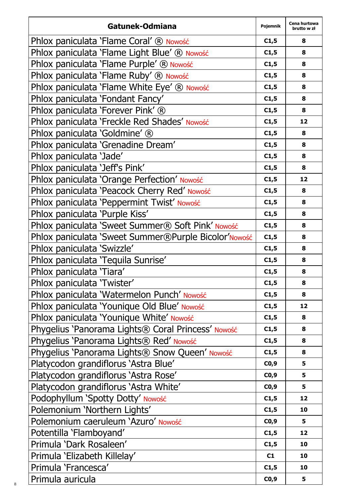| Gatunek-Odmiana                                      | Pojemnik | Cena hurtowa<br>brutto w zł |
|------------------------------------------------------|----------|-----------------------------|
| Phlox paniculata 'Flame Coral' ® Nowość              | C1,5     | 8                           |
| Phlox paniculata 'Flame Light Blue' ® Nowość         | C1,5     | 8                           |
| Phlox paniculata 'Flame Purple' ® Nowość             | C1,5     | 8                           |
| Phlox paniculata 'Flame Ruby' ® Nowość               | C1,5     | 8                           |
| Phlox paniculata 'Flame White Eye' ® Nowość          | C1,5     | 8                           |
| Phlox paniculata 'Fondant Fancy'                     | C1,5     | 8                           |
| Phlox paniculata 'Forever Pink' ®                    | C1,5     | 8                           |
| Phlox paniculata 'Freckle Red Shades' Nowość         | C1,5     | 12                          |
| Phlox paniculata 'Goldmine' ®                        | C1,5     | 8                           |
| Phlox paniculata 'Grenadine Dream'                   | C1,5     | 8                           |
| Phlox paniculata 'Jade'                              | C1,5     | 8                           |
| Phlox paniculata 'Jeff's Pink'                       | C1,5     | 8                           |
| Phlox paniculata 'Orange Perfection' Nowość          | C1,5     | 12                          |
| Phlox paniculata 'Peacock Cherry Red' Nowość         | C1,5     | 8                           |
| Phlox paniculata 'Peppermint Twist' Nowość           | C1,5     | 8                           |
| Phlox paniculata 'Purple Kiss'                       | C1,5     | 8                           |
| Phlox paniculata 'Sweet Summer® Soft Pink' Nowość    | C1,5     | 8                           |
| Phlox paniculata 'Sweet Summer®Purple Bicolor'Nowość | C1,5     | 8                           |
| Phlox paniculata 'Swizzle'                           | C1,5     | 8                           |
| Phlox paniculata 'Tequila Sunrise'                   | C1,5     | 8                           |
| Phlox paniculata 'Tiara'                             | C1,5     | 8                           |
| Phlox paniculata 'Twister'                           | C1,5     | 8                           |
| Phlox paniculata 'Watermelon Punch' Nowość           | C1,5     | 8                           |
| Phlox paniculata 'Younique Old Blue' Nowość          | C1,5     | 12                          |
| Phlox paniculata 'Younique White' Nowość             | C1,5     | 8                           |
| Phygelius 'Panorama Lights® Coral Princess' Nowość   | C1,5     | 8                           |
| Phygelius 'Panorama Lights® Red' Nowość              | C1,5     | 8                           |
| Phygelius 'Panorama Lights® Snow Queen' Nowość       | C1,5     | 8                           |
| Platycodon grandiflorus 'Astra Blue'                 | CO, 9    | 5                           |
| Platycodon grandiflorus 'Astra Rose'                 | CO,9     | 5                           |
| Platycodon grandiflorus 'Astra White'                | CO, 9    | 5                           |
| Podophyllum 'Spotty Dotty' Nowość                    | C1,5     | 12                          |
| Polemonium 'Northern Lights'                         | C1,5     | 10                          |
| Polemonium caeruleum 'Azuro' Nowość                  | CO,9     | 5                           |
| Potentilla 'Flamboyand'                              | C1,5     | 12                          |
| Primula 'Dark Rosaleen'                              | C1,5     | 10                          |
| Primula 'Elizabeth Killelay'                         | C1       | 10                          |
| Primula 'Francesca'                                  | C1,5     | 10                          |
| Primula auricula                                     | CO,9     | 5                           |

8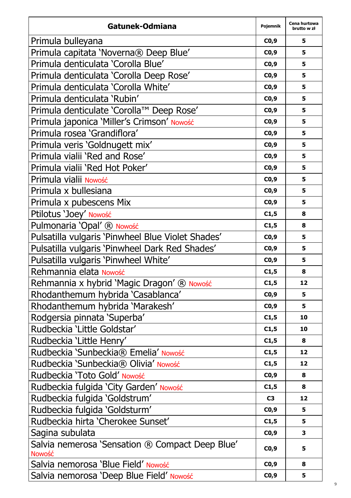| Gatunek-Odmiana                                           | Pojemnik | Cena hurtowa<br>brutto w zł |
|-----------------------------------------------------------|----------|-----------------------------|
| Primula bulleyana                                         | CO,9     | 5                           |
| Primula capitata 'Noverna® Deep Blue'                     | CO, 9    | 5                           |
| Primula denticulata 'Corolla Blue'                        | CO,9     | 5                           |
| Primula denticulata 'Corolla Deep Rose'                   | CO,9     | 5                           |
| Primula denticulata 'Corolla White'                       | CO,9     | 5                           |
| Primula denticulata 'Rubin'                               | CO, 9    | 5                           |
| Primula denticulate 'Corolla™ Deep Rose'                  | CO,9     | 5                           |
| Primula japonica 'Miller's Crimson' Nowość                | CO,9     | 5                           |
| Primula rosea 'Grandiflora'                               | CO, 9    | 5                           |
| Primula veris 'Goldnugett mix'                            | CO, 9    | 5                           |
| Primula vialii 'Red and Rose'                             | CO, 9    | 5                           |
| Primula vialii 'Red Hot Poker'                            | CO, 9    | 5                           |
| Primula vialii Nowość                                     | CO,9     | 5                           |
| Primula x bullesiana                                      | CO,9     | 5                           |
| Primula x pubescens Mix                                   | CO, 9    | 5                           |
| Ptilotus 'Joey' Nowość                                    | C1,5     | 8                           |
| Pulmonaria 'Opal' ® Nowość                                | C1,5     | 8                           |
| Pulsatilla vulgaris 'Pinwheel Blue Violet Shades'         | CO,9     | 5                           |
| Pulsatilla vulgaris 'Pinwheel Dark Red Shades'            | CO, 9    | 5                           |
| Pulsatilla vulgaris 'Pinwheel White'                      | CO,9     | 5                           |
| Rehmannia elata Nowość                                    | C1,5     | 8                           |
| Rehmannia x hybrid 'Magic Dragon' ® Nowość                | C1,5     | 12                          |
| Rhodanthemum hybrida 'Casablanca'                         | CO, 9    | 5                           |
| Rhodanthemum hybrida 'Marakesh'                           | CO, 9    | 5                           |
| Rodgersia pinnata 'Superba'                               | C1,5     | 10                          |
| Rudbeckia 'Little Goldstar'                               | C1,5     | 10                          |
| Rudbeckia 'Little Henry'                                  | C1,5     | 8                           |
| Rudbeckia 'Sunbeckia® Emelia' Nowość                      | C1,5     | 12                          |
| Rudbeckia 'Sunbeckia® Olivia' Nowość                      | C1,5     | 12                          |
| Rudbeckia 'Toto Gold' Nowość                              | CO, 9    | 8                           |
| Rudbeckia fulgida 'City Garden' Nowość                    | C1,5     | 8                           |
| Rudbeckia fulgida 'Goldstrum'                             | C3       | 12                          |
| Rudbeckia fulgida 'Goldsturm'                             | CO,9     | 5                           |
| Rudbeckia hirta 'Cherokee Sunset'                         | C1,5     | 5                           |
| Sagina subulata                                           | CO,9     | з                           |
| Salvia nemerosa 'Sensation ® Compact Deep Blue'<br>Nowość | CO, 9    | 5                           |
| Salvia nemorosa 'Blue Field' Nowość                       | CO, 9    | 8                           |
| Salvia nemorosa 'Deep Blue Field' Nowość                  | CO,9     | 5                           |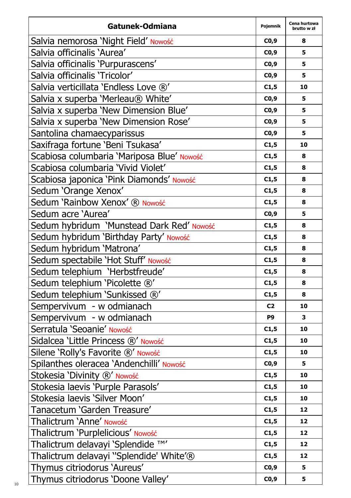| Gatunek-Odmiana                            | Pojemnik       | Cena hurtowa<br>brutto w zł |
|--------------------------------------------|----------------|-----------------------------|
| Salvia nemorosa 'Night Field' Nowość       | CO,9           | 8                           |
| Salvia officinalis 'Aurea'                 | CO,9           | 5                           |
| Salvia officinalis 'Purpurascens'          | CO,9           | 5                           |
| Salvia officinalis 'Tricolor'              | CO, 9          | 5                           |
| Salvia verticillata 'Endless Love ®'       | C1,5           | 10                          |
| Salvia x superba 'Merleau® White'          | CO, 9          | 5                           |
| Salvia x superba 'New Dimension Blue'      | CO,9           | 5                           |
| Salvia x superba 'New Dimension Rose'      | CO, 9          | 5                           |
| Santolina chamaecyparissus                 | CO, 9          | 5                           |
| Saxifraga fortune 'Beni Tsukasa'           | C1,5           | 10                          |
| Scabiosa columbaria 'Mariposa Blue' Nowość | C1,5           | 8                           |
| Scabiosa columbaria 'Vivid Violet'         | C1,5           | 8                           |
| Scabiosa japonica 'Pink Diamonds' Nowość   | C1,5           | 8                           |
| Sedum 'Orange Xenox'                       | C1,5           | 8                           |
| Sedum 'Rainbow Xenox' ® Nowość             | C1,5           | 8                           |
| Sedum acre 'Aurea'                         | CO, 9          | 5                           |
| Sedum hybridum 'Munstead Dark Red' Nowość  | C1,5           | 8                           |
| Sedum hybridum 'Birthday Party' Nowość     | C1,5           | 8                           |
| Sedum hybridum 'Matrona'                   | C1,5           | 8                           |
| Sedum spectabile 'Hot Stuff' Nowość        | C1,5           | 8                           |
| Sedum telephium 'Herbstfreude'             | C1,5           | 8                           |
| Sedum telephium 'Picolette ®'              | C1,5           | 8                           |
| Sedum telephium 'Sunkissed ®'              | C1,5           | 8                           |
| Sempervivum - w odmianach                  | C <sub>2</sub> | 10                          |
| Sempervivum - w odmianach                  | P <sub>9</sub> | з                           |
| Serratula 'Seoanie' Nowość                 | C1,5           | 10                          |
| Sidalcea 'Little Princess ®' Nowość        | C1,5           | 10                          |
| Silene 'Rolly's Favorite ®' Nowość         | C1,5           | 10                          |
| Spilanthes oleracea 'Andenchilli' Nowość   | CO, 9          | 5                           |
| Stokesia 'Divinity ®' Nowość               | C1,5           | 10                          |
| Stokesia laevis 'Purple Parasols'          | C1,5           | 10                          |
| Stokesia laevis 'Silver Moon'              | C1,5           | 10                          |
| Tanacetum 'Garden Treasure'                | C1,5           | 12                          |
| Thalictrum 'Anne' Nowość                   | C1,5           | 12                          |
| Thalictrum 'Purplelicious' Nowość          | C1,5           | 12                          |
| Thalictrum delavayi 'Splendide ™'          | C1,5           | 12                          |
| Thalictrum delavayi "Splendide' White'®    | C1,5           | 12                          |
| Thymus citriodorus 'Aureus'                | CO, 9          | 5                           |
| Thymus citriodorus 'Doone Valley'          | CO,9           | 5                           |